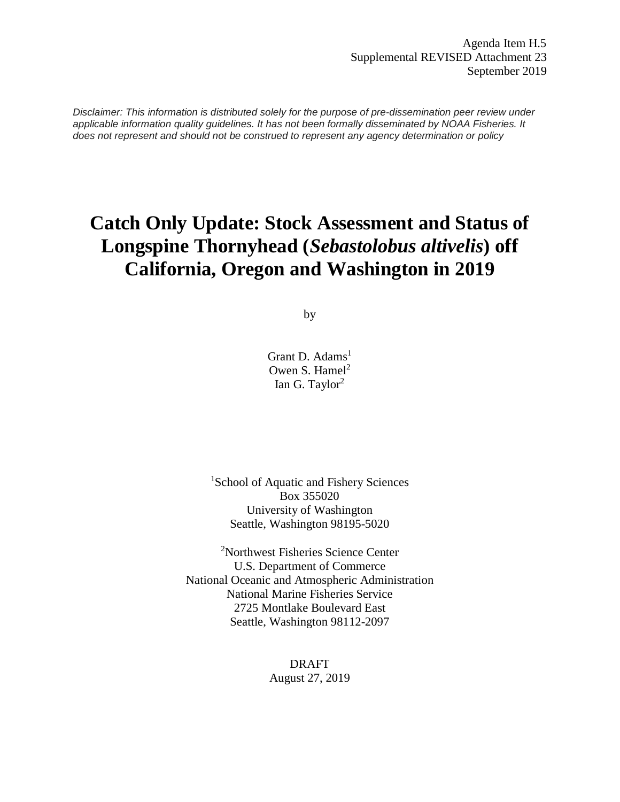*Disclaimer: This information is distributed solely for the purpose of pre-dissemination peer review under applicable information quality guidelines. It has not been formally disseminated by NOAA Fisheries. It does not represent and should not be construed to represent any agency determination or policy*

# **Catch Only Update: Stock Assessment and Status of Longspine Thornyhead (***Sebastolobus altivelis***) off California, Oregon and Washington in 2019**

by

Grant D. Adams<sup>1</sup> Owen S. Hamel<sup>2</sup> Ian G. Taylor<sup>2</sup>

<sup>1</sup>School of Aquatic and Fishery Sciences Box 355020 University of Washington Seattle, Washington 98195-5020

<sup>2</sup>Northwest Fisheries Science Center U.S. Department of Commerce National Oceanic and Atmospheric Administration National Marine Fisheries Service 2725 Montlake Boulevard East Seattle, Washington 98112-2097

> DRAFT August 27, 2019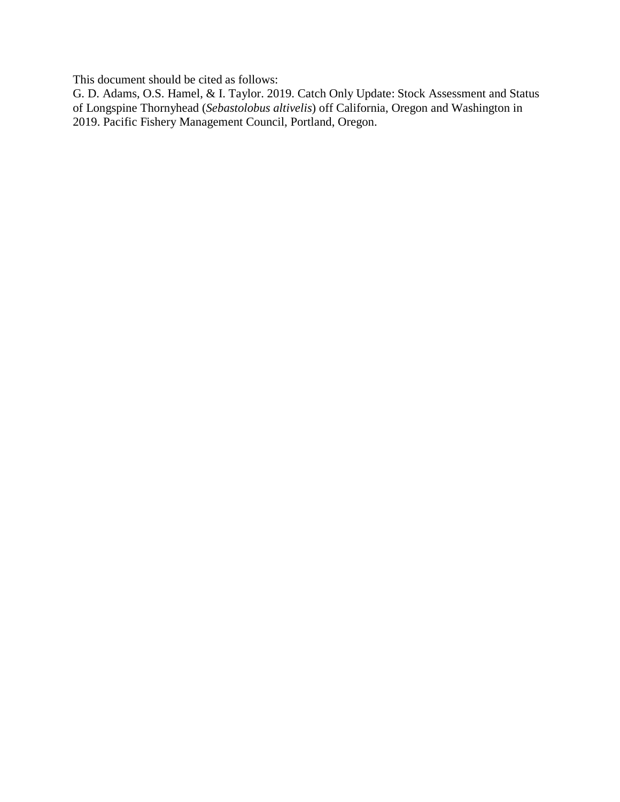This document should be cited as follows:

G. D. Adams, O.S. Hamel, & I. Taylor. 2019. Catch Only Update: Stock Assessment and Status of Longspine Thornyhead (*Sebastolobus altivelis*) off California, Oregon and Washington in 2019. Pacific Fishery Management Council, Portland, Oregon.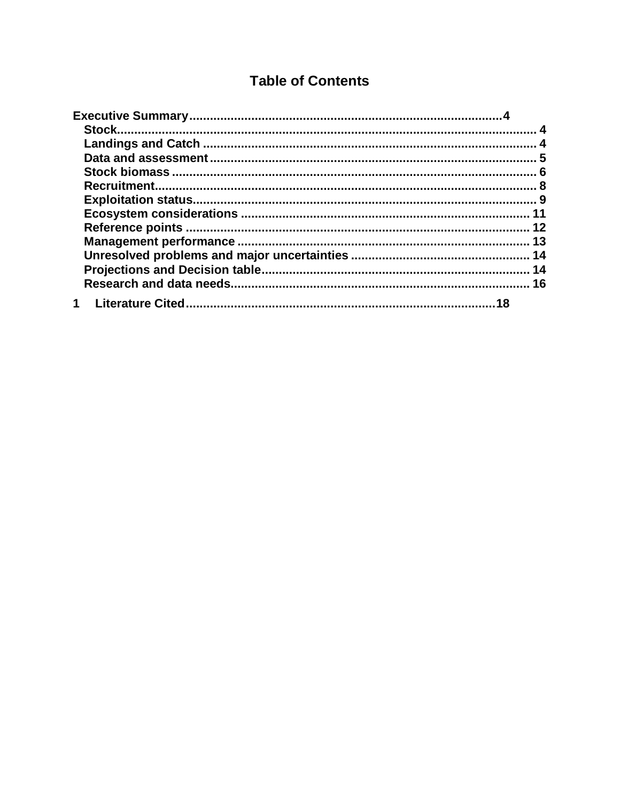## **Table of Contents**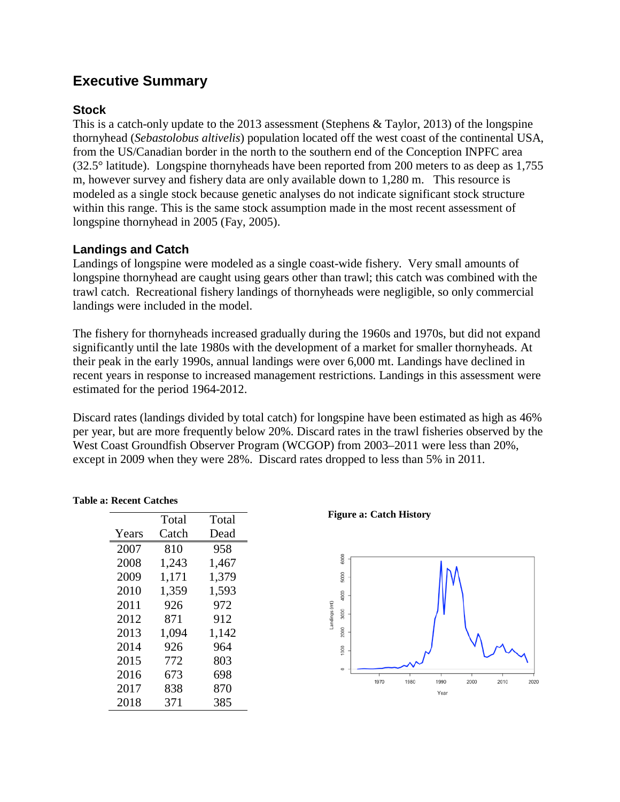## <span id="page-3-0"></span>**Executive Summary**

## <span id="page-3-1"></span>**Stock**

This is a catch-only update to the 2013 assessment (Stephens & Taylor, 2013) of the longspine thornyhead (*Sebastolobus altivelis*) population located off the west coast of the continental USA, from the US/Canadian border in the north to the southern end of the Conception INPFC area (32.5° latitude). Longspine thornyheads have been reported from 200 meters to as deep as 1,755 m, however survey and fishery data are only available down to 1,280 m. This resource is modeled as a single stock because genetic analyses do not indicate significant stock structure within this range. This is the same stock assumption made in the most recent assessment of longspine thornyhead in 2005 (Fay, 2005).

## <span id="page-3-2"></span>**Landings and Catch**

Landings of longspine were modeled as a single coast-wide fishery. Very small amounts of longspine thornyhead are caught using gears other than trawl; this catch was combined with the trawl catch. Recreational fishery landings of thornyheads were negligible, so only commercial landings were included in the model.

The fishery for thornyheads increased gradually during the 1960s and 1970s, but did not expand significantly until the late 1980s with the development of a market for smaller thornyheads. At their peak in the early 1990s, annual landings were over 6,000 mt. Landings have declined in recent years in response to increased management restrictions. Landings in this assessment were estimated for the period 1964-2012.

Discard rates (landings divided by total catch) for longspine have been estimated as high as 46% per year, but are more frequently below 20%. Discard rates in the trawl fisheries observed by the West Coast Groundfish Observer Program (WCGOP) from 2003–2011 were less than 20%, except in 2009 when they were 28%. Discard rates dropped to less than 5% in 2011.

|       | Total | Total |
|-------|-------|-------|
| Years | Catch | Dead  |
| 2007  | 810   | 958   |
| 2008  | 1,243 | 1,467 |
| 2009  | 1,171 | 1,379 |
| 2010  | 1,359 | 1,593 |
| 2011  | 926   | 972   |
| 2012  | 871   | 912   |
| 2013  | 1,094 | 1,142 |
| 2014  | 926   | 964   |
| 2015  | 772   | 803   |
| 2016  | 673   | 698   |
| 2017  | 838   | 870   |
| 2018  | 371   | 385   |

**Table a: Recent Catches**

**Figure a: Catch History**

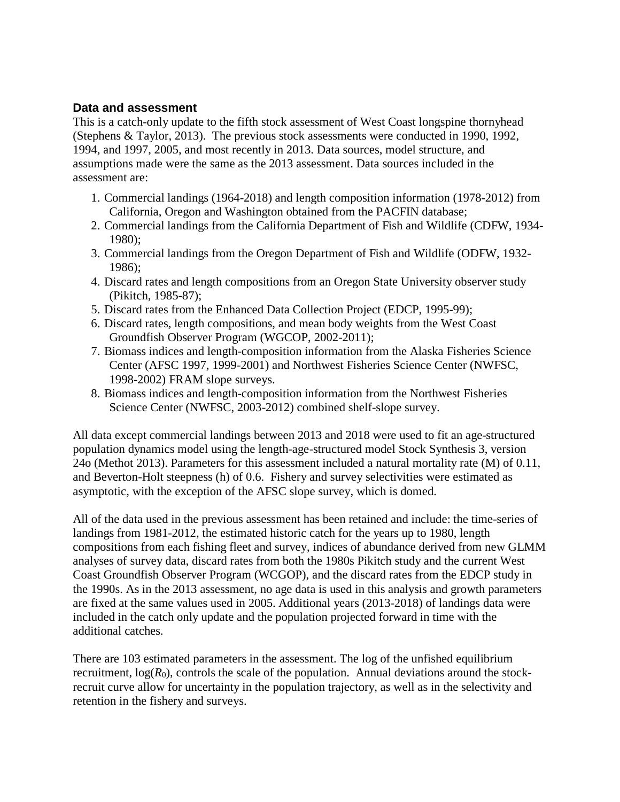## <span id="page-4-0"></span>**Data and assessment**

This is a catch-only update to the fifth stock assessment of West Coast longspine thornyhead (Stephens & Taylor, 2013). The previous stock assessments were conducted in 1990, 1992, 1994, and 1997, 2005, and most recently in 2013. Data sources, model structure, and assumptions made were the same as the 2013 assessment. Data sources included in the assessment are:

- 1. Commercial landings (1964-2018) and length composition information (1978-2012) from California, Oregon and Washington obtained from the PACFIN database;
- 2. Commercial landings from the California Department of Fish and Wildlife (CDFW, 1934- 1980);
- 3. Commercial landings from the Oregon Department of Fish and Wildlife (ODFW, 1932- 1986);
- 4. Discard rates and length compositions from an Oregon State University observer study (Pikitch, 1985-87);
- 5. Discard rates from the Enhanced Data Collection Project (EDCP, 1995-99);
- 6. Discard rates, length compositions, and mean body weights from the West Coast Groundfish Observer Program (WGCOP, 2002-2011);
- 7. Biomass indices and length-composition information from the Alaska Fisheries Science Center (AFSC 1997, 1999-2001) and Northwest Fisheries Science Center (NWFSC, 1998-2002) FRAM slope surveys.
- 8. Biomass indices and length-composition information from the Northwest Fisheries Science Center (NWFSC, 2003-2012) combined shelf-slope survey.

All data except commercial landings between 2013 and 2018 were used to fit an age-structured population dynamics model using the length-age-structured model Stock Synthesis 3, version 24o (Methot 2013). Parameters for this assessment included a natural mortality rate (M) of 0.11, and Beverton-Holt steepness (h) of 0.6. Fishery and survey selectivities were estimated as asymptotic, with the exception of the AFSC slope survey, which is domed.

All of the data used in the previous assessment has been retained and include: the time-series of landings from 1981-2012, the estimated historic catch for the years up to 1980, length compositions from each fishing fleet and survey, indices of abundance derived from new GLMM analyses of survey data, discard rates from both the 1980s Pikitch study and the current West Coast Groundfish Observer Program (WCGOP), and the discard rates from the EDCP study in the 1990s. As in the 2013 assessment, no age data is used in this analysis and growth parameters are fixed at the same values used in 2005. Additional years (2013-2018) of landings data were included in the catch only update and the population projected forward in time with the additional catches.

There are 103 estimated parameters in the assessment. The log of the unfished equilibrium recruitment,  $log(R_0)$ , controls the scale of the population. Annual deviations around the stockrecruit curve allow for uncertainty in the population trajectory, as well as in the selectivity and retention in the fishery and surveys.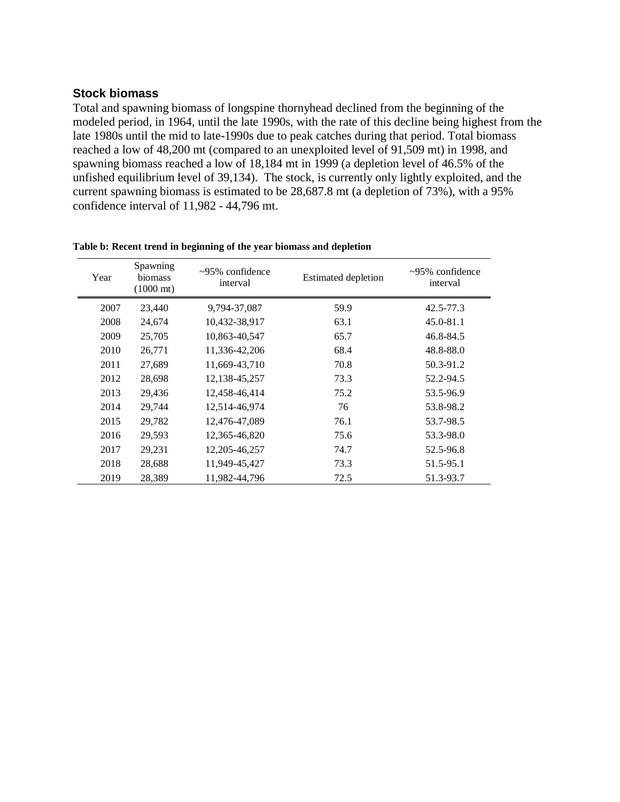#### <span id="page-5-0"></span>**Stock biomass**

Total and spawning biomass of longspine thornyhead declined from the beginning of the modeled period, in 1964, until the late 1990s, with the rate of this decline being highest from the late 1980s until the mid to late-1990s due to peak catches during that period. Total biomass reached a low of 48,200 mt (compared to an unexploited level of 91,509 mt) in 1998, and spawning biomass reached a low of 18,184 mt in 1999 (a depletion level of 46.5% of the unfished equilibrium level of 39,134). The stock, is currently only lightly exploited, and the current spawning biomass is estimated to be 28,687.8 mt (a depletion of 73%), with a 95% confidence interval of 11,982 - 44,796 mt.

| Year | Spawning<br>biomass<br>$(1000 \text{ mt})$ | $\sim$ 95% confidence<br>interval | <b>Estimated depletion</b> | $\sim$ 95% confidence<br>interval |
|------|--------------------------------------------|-----------------------------------|----------------------------|-----------------------------------|
| 2007 | 23,440                                     | 9,794-37,087                      | 59.9                       | $42.5 - 77.3$                     |
| 2008 | 24,674                                     | 10,432-38,917                     | 63.1                       | 45.0-81.1                         |
| 2009 | 25,705                                     | 10,863-40,547                     | 65.7                       | 46.8-84.5                         |
| 2010 | 26,771                                     | 11,336-42,206                     | 68.4                       | 48.8-88.0                         |
| 2011 | 27,689                                     | 11,669-43,710                     | 70.8                       | 50.3-91.2                         |
| 2012 | 28,698                                     | 12, 138 - 45, 257                 | 73.3                       | 52.2-94.5                         |
| 2013 | 29,436                                     | 12,458-46,414                     | 75.2                       | 53.5-96.9                         |
| 2014 | 29,744                                     | 12,514-46,974                     | 76                         | 53.8-98.2                         |
| 2015 | 29,782                                     | 12,476-47,089                     | 76.1                       | 53.7-98.5                         |
| 2016 | 29,593                                     | 12,365-46,820                     | 75.6                       | 53.3-98.0                         |
| 2017 | 29,231                                     | 12, 205 - 46, 257                 | 74.7                       | 52.5-96.8                         |
| 2018 | 28,688                                     | 11,949-45,427                     | 73.3                       | 51.5-95.1                         |
| 2019 | 28,389                                     | 11,982-44,796                     | 72.5                       | 51.3-93.7                         |

| Table b: Recent trend in beginning of the year biomass and depletion |  |  |  |
|----------------------------------------------------------------------|--|--|--|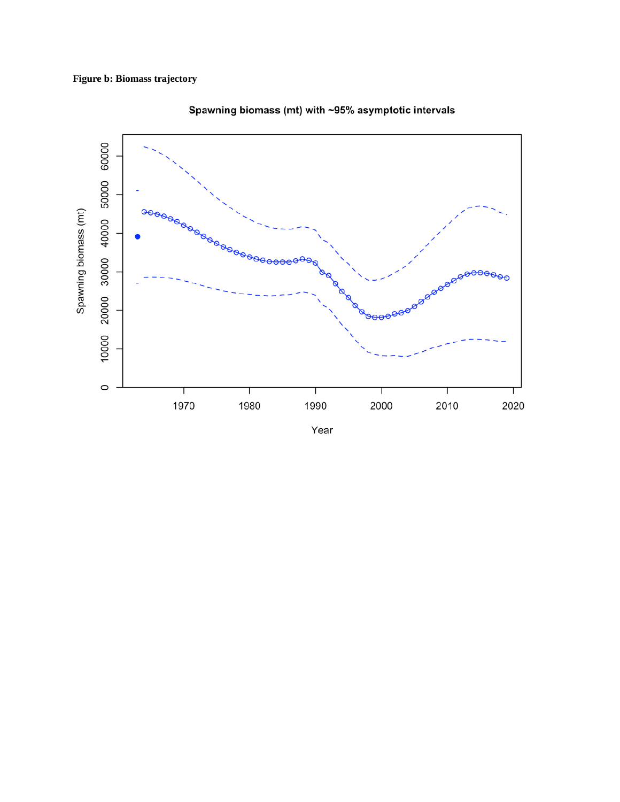

Spawning biomass (mt) with ~95% asymptotic intervals

Year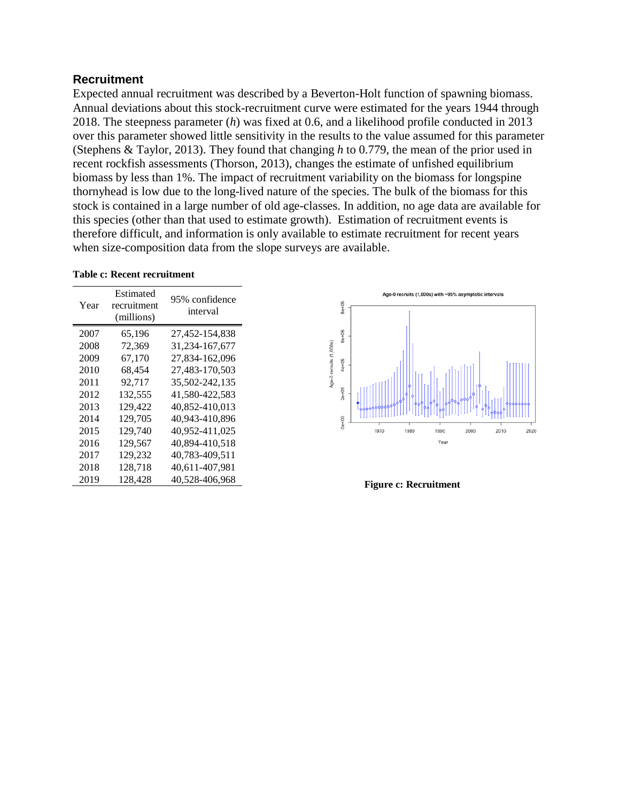#### <span id="page-7-0"></span>**Recruitment**

Expected annual recruitment was described by a Beverton-Holt function of spawning biomass. Annual deviations about this stock-recruitment curve were estimated for the years 1944 through 2018. The steepness parameter (*h*) was fixed at 0.6, and a likelihood profile conducted in 2013 over this parameter showed little sensitivity in the results to the value assumed for this parameter (Stephens & Taylor, 2013). They found that changing *h* to 0.779, the mean of the prior used in recent rockfish assessments (Thorson, 2013), changes the estimate of unfished equilibrium biomass by less than 1%. The impact of recruitment variability on the biomass for longspine thornyhead is low due to the long-lived nature of the species. The bulk of the biomass for this stock is contained in a large number of old age-classes. In addition, no age data are available for this species (other than that used to estimate growth). Estimation of recruitment events is therefore difficult, and information is only available to estimate recruitment for recent years when size-composition data from the slope surveys are available.

|  |  | <b>Table c: Recent recruitment</b> |
|--|--|------------------------------------|
|--|--|------------------------------------|

| Year | Estimated<br>recruitment<br>(millions) | 95% confidence<br>interval |
|------|----------------------------------------|----------------------------|
| 2007 | 65,196                                 | 27,452-154,838             |
| 2008 | 72,369                                 | 31, 234 - 167, 677         |
| 2009 | 67,170                                 | 27,834-162,096             |
| 2010 | 68,454                                 | 27,483-170,503             |
| 2011 | 92.717                                 | 35,502-242,135             |
| 2012 | 132,555                                | 41,580-422,583             |
| 2013 | 129,422                                | 40,852-410,013             |
| 2014 | 129,705                                | 40,943-410,896             |
| 2015 | 129.740                                | 40,952-411,025             |
| 2016 | 129,567                                | 40.894-410.518             |
| 2017 | 129,232                                | 40,783-409,511             |
| 2018 | 128,718                                | 40,611-407,981             |
| 2019 | 128,428                                | 40,528-406,968             |



**Figure c: Recruitment**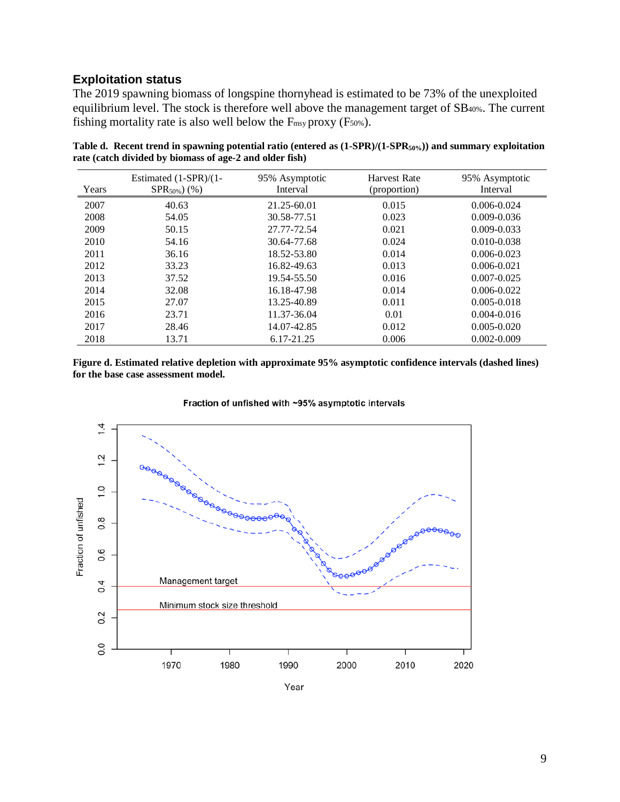## <span id="page-8-0"></span>**Exploitation status**

The 2019 spawning biomass of longspine thornyhead is estimated to be 73% of the unexploited equilibrium level. The stock is therefore well above the management target of SB40%. The current fishing mortality rate is also well below the  $F_{\text{msy}}$  proxy (F<sub>50%</sub>).

| Years | Estimated $(1-SPR)/(1-$<br>$SPR_{50\%}$ (%) | 95% Asymptotic<br>Interval | <b>Harvest Rate</b><br>(proportion) | 95% Asymptotic<br>Interval |
|-------|---------------------------------------------|----------------------------|-------------------------------------|----------------------------|
| 2007  | 40.63                                       | 21.25-60.01                | 0.015                               | $0.006 - 0.024$            |
| 2008  | 54.05                                       | 30.58-77.51                | 0.023                               | $0.009 - 0.036$            |
| 2009  | 50.15                                       | 27.77-72.54                | 0.021                               | $0.009 - 0.033$            |
| 2010  | 54.16                                       | 30.64-77.68                | 0.024                               | $0.010 - 0.038$            |
| 2011  | 36.16                                       | 18.52-53.80                | 0.014                               | $0.006 - 0.023$            |
| 2012  | 33.23                                       | 16.82-49.63                | 0.013                               | $0.006 - 0.021$            |
| 2013  | 37.52                                       | 19.54-55.50                | 0.016                               | $0.007 - 0.025$            |
| 2014  | 32.08                                       | 16.18-47.98                | 0.014                               | $0.006 - 0.022$            |
| 2015  | 27.07                                       | 13.25-40.89                | 0.011                               | $0.005 - 0.018$            |
| 2016  | 23.71                                       | 11.37-36.04                | 0.01                                | $0.004 - 0.016$            |
| 2017  | 28.46                                       | 14.07-42.85                | 0.012                               | $0.005 - 0.020$            |
| 2018  | 13.71                                       | 6.17-21.25                 | 0.006                               | $0.002 - 0.009$            |

**Table d. Recent trend in spawning potential ratio (entered as (1-SPR)/(1-SPR50%)) and summary exploitation rate (catch divided by biomass of age-2 and older fish)**

**Figure d. Estimated relative depletion with approximate 95% asymptotic confidence intervals (dashed lines) for the base case assessment model.**

 $1.4$  $1.2$  $\frac{10}{10}$ Fraction of unfished  $0.\overline{8}$ 0.6 Management target  $0.4$ Minimum stock size threshold  $0.2$  $0.0$ 1970 1980 1990 2000 2010 2020

Fraction of unfished with ~95% asymptotic intervals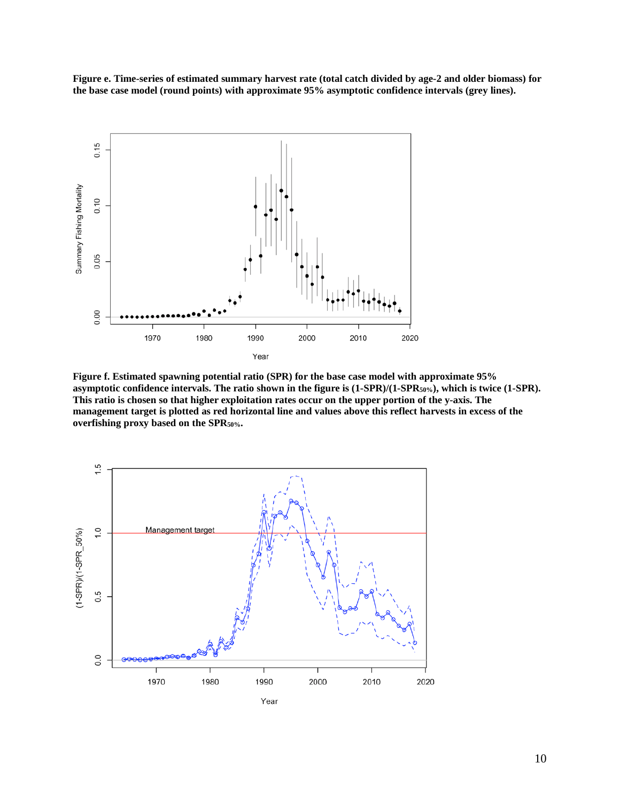**Figure e. Time-series of estimated summary harvest rate (total catch divided by age-2 and older biomass) for the base case model (round points) with approximate 95% asymptotic confidence intervals (grey lines).** 



**Figure f. Estimated spawning potential ratio (SPR) for the base case model with approximate 95%**  asymptotic confidence intervals. The ratio shown in the figure is  $(1-\text{SPR})/(1-\text{SPR}_50\%)$ , which is twice  $(1-\text{SPR})$ . **This ratio is chosen so that higher exploitation rates occur on the upper portion of the y-axis. The management target is plotted as red horizontal line and values above this reflect harvests in excess of the overfishing proxy based on the SPR50%.**

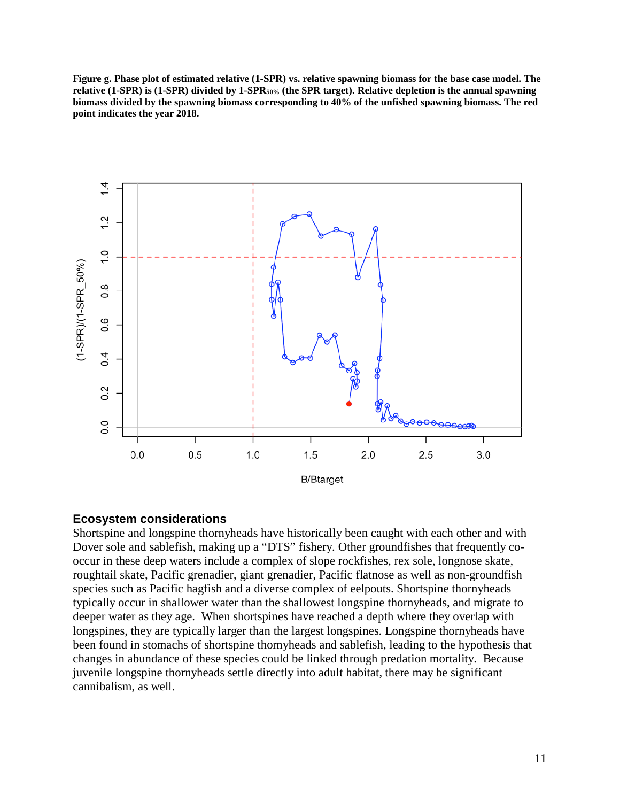**Figure g. Phase plot of estimated relative (1-SPR) vs. relative spawning biomass for the base case model. The relative (1-SPR) is (1-SPR) divided by 1-SPR50% (the SPR target). Relative depletion is the annual spawning biomass divided by the spawning biomass corresponding to 40% of the unfished spawning biomass. The red point indicates the year 2018.**



#### <span id="page-10-0"></span>**Ecosystem considerations**

Shortspine and longspine thornyheads have historically been caught with each other and with Dover sole and sablefish, making up a "DTS" fishery. Other groundfishes that frequently cooccur in these deep waters include a complex of slope rockfishes, rex sole, longnose skate, roughtail skate, Pacific grenadier, giant grenadier, Pacific flatnose as well as non-groundfish species such as Pacific hagfish and a diverse complex of eelpouts. Shortspine thornyheads typically occur in shallower water than the shallowest longspine thornyheads, and migrate to deeper water as they age. When shortspines have reached a depth where they overlap with longspines, they are typically larger than the largest longspines. Longspine thornyheads have been found in stomachs of shortspine thornyheads and sablefish, leading to the hypothesis that changes in abundance of these species could be linked through predation mortality. Because juvenile longspine thornyheads settle directly into adult habitat, there may be significant cannibalism, as well.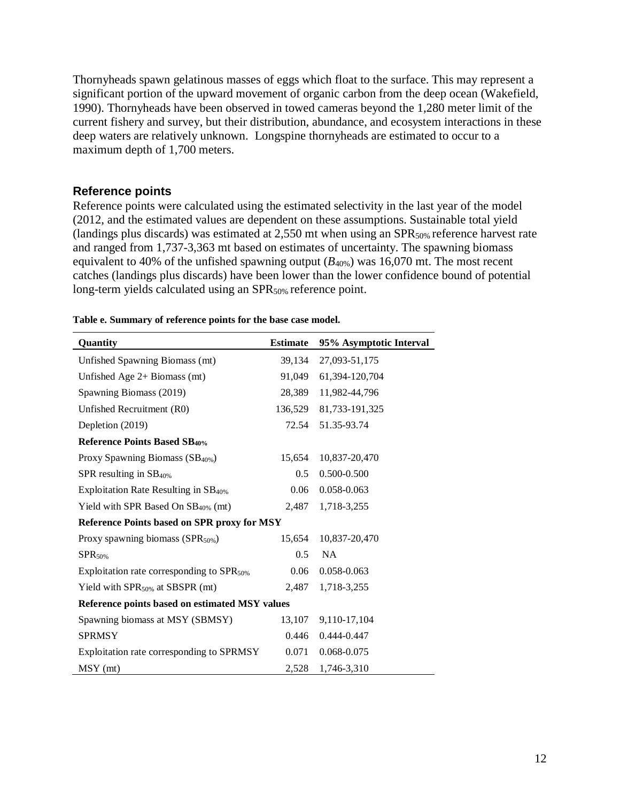Thornyheads spawn gelatinous masses of eggs which float to the surface. This may represent a significant portion of the upward movement of organic carbon from the deep ocean (Wakefield, 1990). Thornyheads have been observed in towed cameras beyond the 1,280 meter limit of the current fishery and survey, but their distribution, abundance, and ecosystem interactions in these deep waters are relatively unknown. Longspine thornyheads are estimated to occur to a maximum depth of 1,700 meters.

## <span id="page-11-0"></span>**Reference points**

Reference points were calculated using the estimated selectivity in the last year of the model (2012, and the estimated values are dependent on these assumptions. Sustainable total yield (landings plus discards) was estimated at 2,550 mt when using an SPR<sub>50%</sub> reference harvest rate and ranged from 1,737-3,363 mt based on estimates of uncertainty. The spawning biomass equivalent to 40% of the unfished spawning output  $(B_{40\%})$  was 16,070 mt. The most recent catches (landings plus discards) have been lower than the lower confidence bound of potential long-term yields calculated using an SPR<sub>50%</sub> reference point.

| Quantity                                              | <b>Estimate</b> | 95% Asymptotic Interval |
|-------------------------------------------------------|-----------------|-------------------------|
| Unfished Spawning Biomass (mt)                        | 39,134          | 27,093-51,175           |
| Unfished Age $2+$ Biomass (mt)                        | 91,049          | 61,394-120,704          |
| Spawning Biomass (2019)                               | 28,389          | 11,982-44,796           |
| Unfished Recruitment (R0)                             | 136,529         | 81,733-191,325          |
| Depletion (2019)                                      | 72.54           | 51.35-93.74             |
| <b>Reference Points Based SB40%</b>                   |                 |                         |
| Proxy Spawning Biomass (SB <sub>40%</sub> )           | 15,654          | 10,837-20,470           |
| SPR resulting in $SB40%$                              | 0.5             | 0.500-0.500             |
| Exploitation Rate Resulting in $SB_{40\%}$            | 0.06            | 0.058-0.063             |
| Yield with SPR Based On $SB40%$ (mt)                  | 2,487           | 1,718-3,255             |
| Reference Points based on SPR proxy for MSY           |                 |                         |
| Proxy spawning biomass $(SPR50%)$                     | 15,654          | 10,837-20,470           |
| $SPR_{50\%}$                                          | 0.5             | <b>NA</b>               |
| Exploitation rate corresponding to SPR <sub>50%</sub> | 0.06            | 0.058-0.063             |
| Yield with $SPR_{50\%}$ at SBSPR (mt)                 | 2,487           | 1,718-3,255             |
| Reference points based on estimated MSY values        |                 |                         |
| Spawning biomass at MSY (SBMSY)                       | 13,107          | 9,110-17,104            |
| <b>SPRMSY</b>                                         | 0.446           | 0.444-0.447             |
| Exploitation rate corresponding to SPRMSY             | 0.071           | 0.068-0.075             |
| MSY (mt)                                              | 2,528           | 1,746-3,310             |

#### **Table e. Summary of reference points for the base case model.**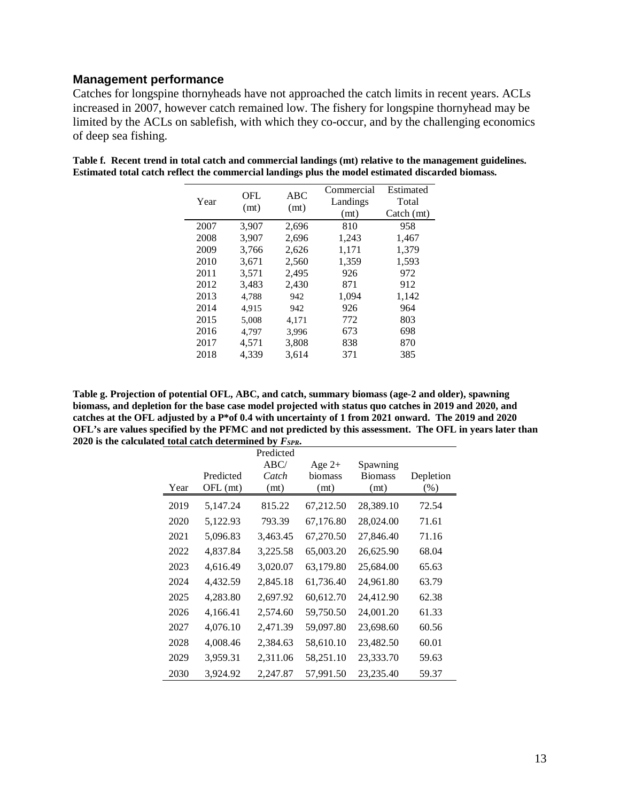## <span id="page-12-0"></span>**Management performance**

Catches for longspine thornyheads have not approached the catch limits in recent years. ACLs increased in 2007, however catch remained low. The fishery for longspine thornyhead may be limited by the ACLs on sablefish, with which they co-occur, and by the challenging economics of deep sea fishing.

| OFL<br>(mt) | ABC<br>(mt) | Commercial<br>Landings<br>(mt) | Estimated<br>Total<br>$\text{Catch}(\text{mt})$ |
|-------------|-------------|--------------------------------|-------------------------------------------------|
| 3,907       | 2,696       | 810                            | 958                                             |
| 3,907       | 2,696       | 1,243                          | 1,467                                           |
| 3,766       | 2,626       | 1,171                          | 1,379                                           |
| 3,671       | 2,560       | 1,359                          | 1,593                                           |
| 3.571       | 2,495       | 926                            | 972                                             |
| 3,483       | 2,430       | 871                            | 912                                             |
| 4.788       | 942         | 1,094                          | 1,142                                           |
| 4.915       | 942         | 926                            | 964                                             |
| 5,008       | 4,171       | 772                            | 803                                             |
| 4.797       | 3,996       | 673                            | 698                                             |
| 4,571       | 3,808       | 838                            | 870                                             |
| 4.339       | 3.614       | 371                            | 385                                             |
|             |             |                                |                                                 |

| Table f. Recent trend in total catch and commercial landings (mt) relative to the management guidelines. |
|----------------------------------------------------------------------------------------------------------|
| Estimated total catch reflect the commercial landings plus the model estimated discarded biomass.        |

**Table g. Projection of potential OFL, ABC, and catch, summary biomass (age-2 and older), spawning biomass, and depletion for the base case model projected with status quo catches in 2019 and 2020, and catches at the OFL adjusted by a P\*of 0.4 with uncertainty of 1 from 2021 onward. The 2019 and 2020 OFL's are values specified by the PFMC and not predicted by this assessment. The OFL in years later than 2020 is the calculated total catch determined by** *FSPR***.**

|      |            | Predicted |           |                |           |
|------|------------|-----------|-----------|----------------|-----------|
|      |            | ABC/      | Age $2+$  | Spawning       |           |
|      | Predicted  | Catch     | biomass   | <b>Biomass</b> | Depletion |
| Year | $OFL$ (mt) | (mt)      | (mt)      | (mt)           | (% )      |
| 2019 | 5,147.24   | 815.22    | 67,212.50 | 28,389.10      | 72.54     |
| 2020 | 5,122.93   | 793.39    | 67,176.80 | 28,024.00      | 71.61     |
| 2021 | 5,096.83   | 3,463.45  | 67,270.50 | 27,846.40      | 71.16     |
| 2022 | 4,837.84   | 3,225.58  | 65,003.20 | 26,625.90      | 68.04     |
| 2023 | 4,616.49   | 3,020.07  | 63,179.80 | 25,684.00      | 65.63     |
| 2024 | 4,432.59   | 2,845.18  | 61,736.40 | 24,961.80      | 63.79     |
| 2025 | 4,283.80   | 2,697.92  | 60,612.70 | 24,412.90      | 62.38     |
| 2026 | 4,166.41   | 2,574.60  | 59,750.50 | 24,001.20      | 61.33     |
| 2027 | 4,076.10   | 2,471.39  | 59,097.80 | 23,698.60      | 60.56     |
| 2028 | 4,008.46   | 2,384.63  | 58,610.10 | 23,482.50      | 60.01     |
| 2029 | 3,959.31   | 2,311.06  | 58,251.10 | 23,333.70      | 59.63     |
| 2030 | 3,924.92   | 2,247.87  | 57,991.50 | 23,235.40      | 59.37     |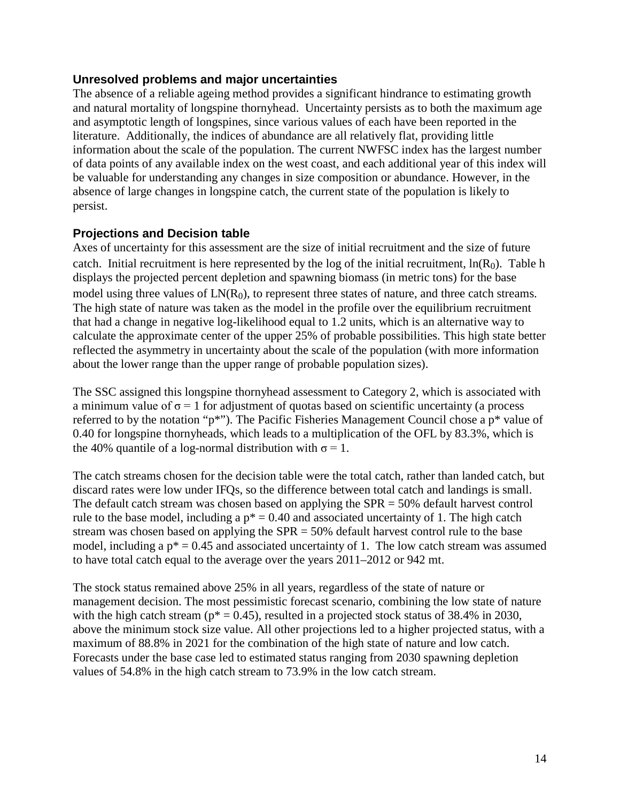## <span id="page-13-0"></span>**Unresolved problems and major uncertainties**

The absence of a reliable ageing method provides a significant hindrance to estimating growth and natural mortality of longspine thornyhead. Uncertainty persists as to both the maximum age and asymptotic length of longspines, since various values of each have been reported in the literature. Additionally, the indices of abundance are all relatively flat, providing little information about the scale of the population. The current NWFSC index has the largest number of data points of any available index on the west coast, and each additional year of this index will be valuable for understanding any changes in size composition or abundance. However, in the absence of large changes in longspine catch, the current state of the population is likely to persist.

## <span id="page-13-1"></span>**Projections and Decision table**

Axes of uncertainty for this assessment are the size of initial recruitment and the size of future catch. Initial recruitment is here represented by the log of the initial recruitment,  $\ln(R_0)$ . Table h displays the projected percent depletion and spawning biomass (in metric tons) for the base model using three values of  $LN(R_0)$ , to represent three states of nature, and three catch streams. The high state of nature was taken as the model in the profile over the equilibrium recruitment that had a change in negative log-likelihood equal to 1.2 units, which is an alternative way to calculate the approximate center of the upper 25% of probable possibilities. This high state better reflected the asymmetry in uncertainty about the scale of the population (with more information about the lower range than the upper range of probable population sizes).

The SSC assigned this longspine thornyhead assessment to Category 2, which is associated with a minimum value of  $\sigma = 1$  for adjustment of quotas based on scientific uncertainty (a process referred to by the notation "p\*"). The Pacific Fisheries Management Council chose a p\* value of 0.40 for longspine thornyheads, which leads to a multiplication of the OFL by 83.3%, which is the 40% quantile of a log-normal distribution with  $\sigma = 1$ .

The catch streams chosen for the decision table were the total catch, rather than landed catch, but discard rates were low under IFQs, so the difference between total catch and landings is small. The default catch stream was chosen based on applying the SPR = 50% default harvest control rule to the base model, including a  $p^* = 0.40$  and associated uncertainty of 1. The high catch stream was chosen based on applying the SPR = 50% default harvest control rule to the base model, including a  $p^* = 0.45$  and associated uncertainty of 1. The low catch stream was assumed to have total catch equal to the average over the years 2011–2012 or 942 mt.

The stock status remained above 25% in all years, regardless of the state of nature or management decision. The most pessimistic forecast scenario, combining the low state of nature with the high catch stream ( $p^* = 0.45$ ), resulted in a projected stock status of 38.4% in 2030, above the minimum stock size value. All other projections led to a higher projected status, with a maximum of 88.8% in 2021 for the combination of the high state of nature and low catch. Forecasts under the base case led to estimated status ranging from 2030 spawning depletion values of 54.8% in the high catch stream to 73.9% in the low catch stream.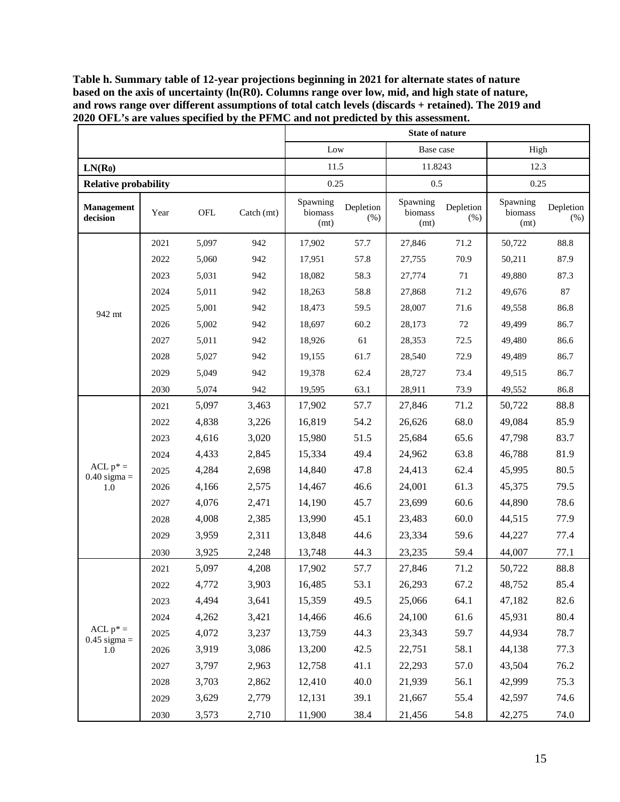|                              |      |       |                           | <b>State of nature</b>      |                   |                             |                   |                             |                   |
|------------------------------|------|-------|---------------------------|-----------------------------|-------------------|-----------------------------|-------------------|-----------------------------|-------------------|
|                              |      |       |                           | Low                         |                   | Base case                   |                   | High                        |                   |
| LN(R <sub>0</sub> )          |      |       |                           | 11.5                        |                   | 11.8243                     |                   | 12.3                        |                   |
| <b>Relative probability</b>  |      |       |                           | 0.25                        |                   | 0.5                         |                   | 0.25                        |                   |
| Management<br>decision       | Year | OFL   | $\text{Catch}(\text{mt})$ | Spawning<br>biomass<br>(mt) | Depletion<br>(% ) | Spawning<br>biomass<br>(mt) | Depletion<br>(% ) | Spawning<br>biomass<br>(mt) | Depletion<br>(% ) |
|                              | 2021 | 5,097 | 942                       | 17,902                      | 57.7              | 27,846                      | 71.2              | 50,722                      | 88.8              |
|                              | 2022 | 5,060 | 942                       | 17,951                      | 57.8              | 27,755                      | 70.9              | 50,211                      | 87.9              |
|                              | 2023 | 5,031 | 942                       | 18,082                      | 58.3              | 27,774                      | 71                | 49,880                      | 87.3              |
|                              | 2024 | 5,011 | 942                       | 18,263                      | 58.8              | 27,868                      | 71.2              | 49,676                      | 87                |
| 942 mt                       | 2025 | 5,001 | 942                       | 18,473                      | 59.5              | 28,007                      | 71.6              | 49,558                      | 86.8              |
|                              | 2026 | 5,002 | 942                       | 18,697                      | 60.2              | 28,173                      | 72                | 49,499                      | 86.7              |
|                              | 2027 | 5,011 | 942                       | 18,926                      | 61                | 28,353                      | 72.5              | 49,480                      | 86.6              |
|                              | 2028 | 5,027 | 942                       | 19,155                      | 61.7              | 28,540                      | 72.9              | 49,489                      | 86.7              |
|                              | 2029 | 5,049 | 942                       | 19,378                      | 62.4              | 28,727                      | 73.4              | 49,515                      | 86.7              |
|                              | 2030 | 5,074 | 942                       | 19,595                      | 63.1              | 28,911                      | 73.9              | 49,552                      | 86.8              |
|                              | 2021 | 5,097 | 3,463                     | 17,902                      | 57.7              | 27,846                      | 71.2              | 50,722                      | 88.8              |
|                              | 2022 | 4,838 | 3,226                     | 16,819                      | 54.2              | 26,626                      | 68.0              | 49,084                      | 85.9              |
|                              | 2023 | 4,616 | 3,020                     | 15,980                      | 51.5              | 25,684                      | 65.6              | 47,798                      | 83.7              |
|                              | 2024 | 4,433 | 2,845                     | 15,334                      | 49.4              | 24,962                      | 63.8              | 46,788                      | 81.9              |
| $ACL p* =$<br>$0.40$ sigma = | 2025 | 4,284 | 2,698                     | 14,840                      | 47.8              | 24,413                      | 62.4              | 45,995                      | 80.5              |
| $1.0\,$                      | 2026 | 4,166 | 2,575                     | 14,467                      | 46.6              | 24,001                      | 61.3              | 45,375                      | 79.5              |
|                              | 2027 | 4,076 | 2,471                     | 14,190                      | 45.7              | 23,699                      | 60.6              | 44,890                      | 78.6              |
|                              | 2028 | 4,008 | 2,385                     | 13,990                      | 45.1              | 23,483                      | 60.0              | 44,515                      | 77.9              |
|                              | 2029 | 3,959 | 2,311                     | 13,848                      | 44.6              | 23,334                      | 59.6              | 44,227                      | 77.4              |
|                              | 2030 | 3,925 | 2,248                     | 13,748                      | 44.3              | 23,235                      | 59.4              | 44,007                      | 77.1              |
|                              | 2021 | 5,097 | 4,208                     | 17,902                      | 57.7              | 27,846                      | 71.2              | 50,722                      | 88.8              |
|                              | 2022 | 4,772 | 3,903                     | 16,485                      | 53.1              | 26,293                      | 67.2              | 48,752                      | 85.4              |
|                              | 2023 | 4,494 | 3,641                     | 15,359                      | 49.5              | 25,066                      | 64.1              | 47,182                      | 82.6              |
|                              | 2024 | 4,262 | 3,421                     | 14,466                      | 46.6              | 24,100                      | 61.6              | 45,931                      | 80.4              |
| $ACL p* =$                   | 2025 | 4,072 | 3,237                     | 13,759                      | 44.3              | 23,343                      | 59.7              | 44,934                      | 78.7              |
| $0.45$ sigma =<br>1.0        | 2026 | 3,919 | 3,086                     | 13,200                      | 42.5              | 22,751                      | 58.1              | 44,138                      | 77.3              |
|                              | 2027 | 3,797 | 2,963                     | 12,758                      | 41.1              | 22,293                      | 57.0              | 43,504                      | 76.2              |
|                              | 2028 | 3,703 | 2,862                     | 12,410                      | 40.0              | 21,939                      | 56.1              | 42,999                      | 75.3              |
|                              | 2029 | 3,629 | 2,779                     | 12,131                      | 39.1              | 21,667                      | 55.4              | 42,597                      | 74.6              |
|                              | 2030 | 3,573 | 2,710                     | 11,900                      | 38.4              | 21,456                      | 54.8              | 42,275                      | 74.0              |

**Table h. Summary table of 12-year projections beginning in 2021 for alternate states of nature**  based on the axis of uncertainty (ln(R0). Columns range over low, mid, and high state of nature, **and rows range over different assumptions of total catch levels (discards + retained). The 2019 and 2020 OFL's are values specified by the PFMC and not predicted by this assessment.**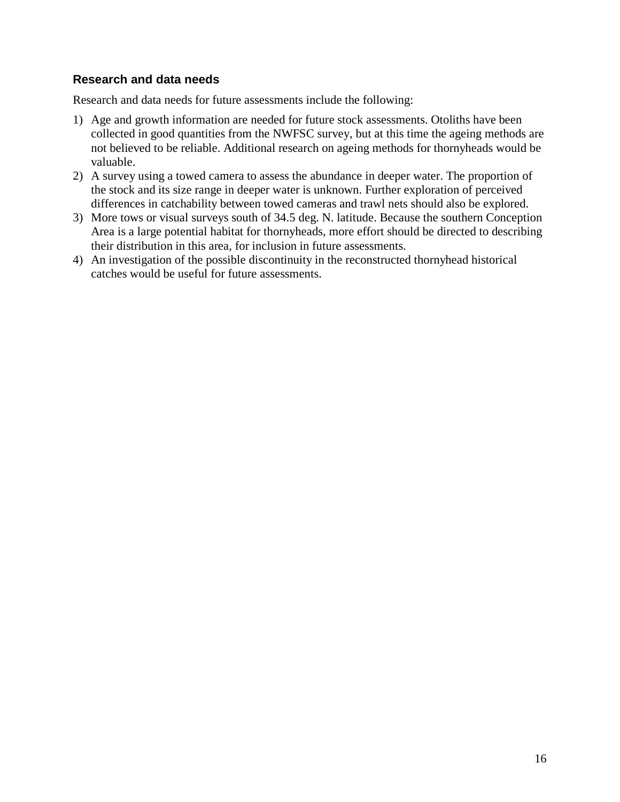## <span id="page-15-0"></span>**Research and data needs**

Research and data needs for future assessments include the following:

- 1) Age and growth information are needed for future stock assessments. Otoliths have been collected in good quantities from the NWFSC survey, but at this time the ageing methods are not believed to be reliable. Additional research on ageing methods for thornyheads would be valuable.
- 2) A survey using a towed camera to assess the abundance in deeper water. The proportion of the stock and its size range in deeper water is unknown. Further exploration of perceived differences in catchability between towed cameras and trawl nets should also be explored.
- 3) More tows or visual surveys south of 34.5 deg. N. latitude. Because the southern Conception Area is a large potential habitat for thornyheads, more effort should be directed to describing their distribution in this area, for inclusion in future assessments.
- 4) An investigation of the possible discontinuity in the reconstructed thornyhead historical catches would be useful for future assessments.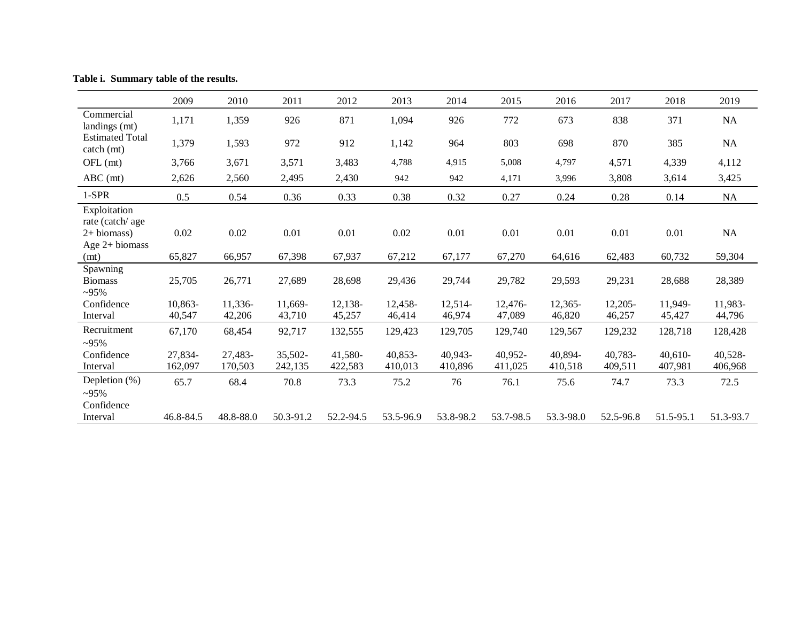|                                                        | 2009               | 2010               | 2011               | 2012               | 2013                 | 2014               | 2015               | 2016               | 2017               | 2018                 | 2019               |
|--------------------------------------------------------|--------------------|--------------------|--------------------|--------------------|----------------------|--------------------|--------------------|--------------------|--------------------|----------------------|--------------------|
| Commercial<br>landings (mt)                            | 1,171              | 1,359              | 926                | 871                | 1,094                | 926                | 772                | 673                | 838                | 371                  | $\rm NA$           |
| <b>Estimated Total</b><br>catch (mt)                   | 1,379              | 1,593              | 972                | 912                | 1,142                | 964                | 803                | 698                | 870                | 385                  | NA                 |
| OFL (mt)                                               | 3,766              | 3,671              | 3,571              | 3,483              | 4,788                | 4,915              | 5,008              | 4,797              | 4,571              | 4,339                | 4,112              |
| $ABC$ (mt)                                             | 2,626              | 2,560              | 2,495              | 2,430              | 942                  | 942                | 4,171              | 3,996              | 3,808              | 3,614                | 3,425              |
| $1-SPR$                                                | 0.5                | 0.54               | 0.36               | 0.33               | 0.38                 | 0.32               | 0.27               | 0.24               | 0.28               | 0.14                 | $\rm NA$           |
| Exploitation<br>rate (catch/age<br>$2+ \text{biomass}$ | 0.02               | 0.02               | 0.01               | 0.01               | 0.02                 | 0.01               | 0.01               | 0.01               | 0.01               | 0.01                 | NA                 |
| Age 2+ biomass<br>(mt)                                 | 65,827             | 66,957             | 67,398             | 67,937             | 67,212               | 67,177             | 67,270             | 64,616             | 62,483             | 60,732               | 59,304             |
| Spawning<br><b>Biomass</b><br>$-95%$                   | 25,705             | 26,771             | 27,689             | 28,698             | 29,436               | 29,744             | 29,782             | 29,593             | 29,231             | 28,688               | 28,389             |
| Confidence                                             | 10,863-            | 11,336-            | 11,669-            | 12,138-            | 12,458-              | 12,514-            | 12,476-            | 12,365-            | $12,205-$          | 11,949-              | 11,983-            |
| Interval                                               | 40,547             | 42,206             | 43,710             | 45,257             | 46,414               | 46,974             | 47,089             | 46,820             | 46,257             | 45,427               | 44,796             |
| Recruitment<br>$-95%$                                  | 67,170             | 68,454             | 92,717             | 132,555            | 129,423              | 129,705            | 129,740            | 129,567            | 129,232            | 128,718              | 128,428            |
| Confidence<br>Interval                                 | 27,834-<br>162,097 | 27,483-<br>170,503 | 35,502-<br>242,135 | 41,580-<br>422,583 | $40,853-$<br>410,013 | 40,943-<br>410,896 | 40,952-<br>411,025 | 40,894-<br>410,518 | 40,783-<br>409,511 | $40,610-$<br>407,981 | 40,528-<br>406,968 |
| Depletion (%)<br>$-95%$                                | 65.7               | 68.4               | 70.8               | 73.3               | 75.2                 | 76                 | 76.1               | 75.6               | 74.7               | 73.3                 | 72.5               |
| Confidence<br>Interval                                 | 46.8-84.5          | 48.8-88.0          | 50.3-91.2          | 52.2-94.5          | 53.5-96.9            | 53.8-98.2          | 53.7-98.5          | 53.3-98.0          | 52.5-96.8          | 51.5-95.1            | 51.3-93.7          |

**Table i. Summary table of the results.**